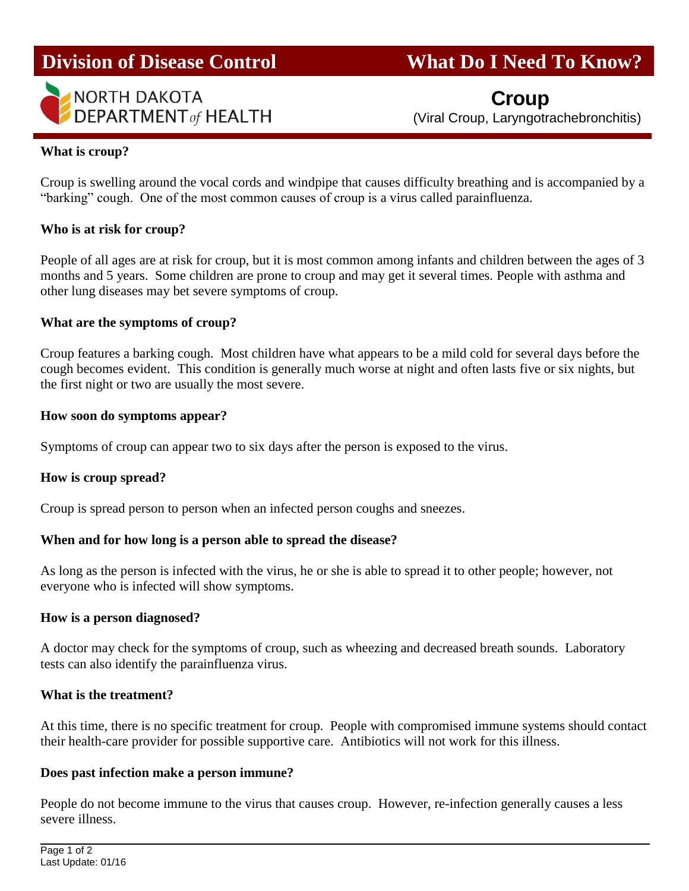

# **Division of Disease Control What Do I Need To Know?**

 **Croup** (Viral Croup, Laryngotrachebronchitis)

# **What is croup?**

Croup is swelling around the vocal cords and windpipe that causes difficulty breathing and is accompanied by a "barking" cough. One of the most common causes of croup is a virus called parainfluenza.

#### **Who is at risk for croup?**

People of all ages are at risk for croup, but it is most common among infants and children between the ages of 3 months and 5 years. Some children are prone to croup and may get it several times. People with asthma and other lung diseases may bet severe symptoms of croup.

#### **What are the symptoms of croup?**

Croup features a barking cough. Most children have what appears to be a mild cold for several days before the cough becomes evident. This condition is generally much worse at night and often lasts five or six nights, but the first night or two are usually the most severe.

#### **How soon do symptoms appear?**

Symptoms of croup can appear two to six days after the person is exposed to the virus.

# **How is croup spread?**

Croup is spread person to person when an infected person coughs and sneezes.

# **When and for how long is a person able to spread the disease?**

As long as the person is infected with the virus, he or she is able to spread it to other people; however, not everyone who is infected will show symptoms.

#### **How is a person diagnosed?**

A doctor may check for the symptoms of croup, such as wheezing and decreased breath sounds. Laboratory tests can also identify the parainfluenza virus.

#### **What is the treatment?**

At this time, there is no specific treatment for croup. People with compromised immune systems should contact their health-care provider for possible supportive care. Antibiotics will not work for this illness.

#### **Does past infection make a person immune?**

People do not become immune to the virus that causes croup. However, re-infection generally causes a less severe illness.